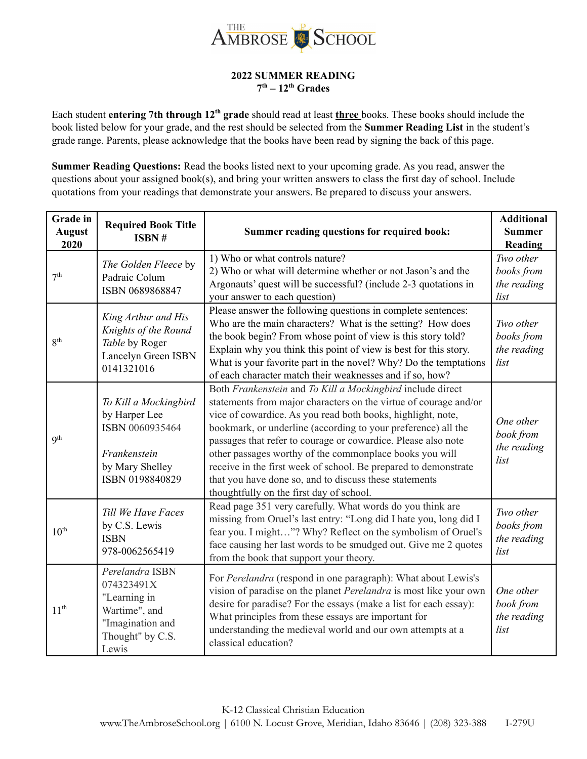

## **2022 SUMMER READING 7 th – 12 th Grades**

Each student **entering** 7th through 12<sup>th</sup> grade should read at least three books. These books should include the book listed below for your grade, and the rest should be selected from the **Summer Reading List** in the student's grade range. Parents, please acknowledge that the books have been read by signing the back of this page.

**Summer Reading Questions:** Read the books listed next to your upcoming grade. As you read, answer the questions about your assigned book(s), and bring your written answers to class the first day of school. Include quotations from your readings that demonstrate your answers. Be prepared to discuss your answers.

| <b>Grade</b> in<br><b>August</b><br>2020 | <b>Required Book Title</b><br>ISBN#                                                                             | Summer reading questions for required book:                                                                                                                                                                                                                                                                                                                                                                                                                                                                                                                         | <b>Additional</b><br><b>Summer</b><br>Reading  |
|------------------------------------------|-----------------------------------------------------------------------------------------------------------------|---------------------------------------------------------------------------------------------------------------------------------------------------------------------------------------------------------------------------------------------------------------------------------------------------------------------------------------------------------------------------------------------------------------------------------------------------------------------------------------------------------------------------------------------------------------------|------------------------------------------------|
| 7 <sup>th</sup>                          | The Golden Fleece by<br>Padraic Colum<br>ISBN 0689868847                                                        | 1) Who or what controls nature?<br>2) Who or what will determine whether or not Jason's and the<br>Argonauts' quest will be successful? (include 2-3 quotations in<br>your answer to each question)                                                                                                                                                                                                                                                                                                                                                                 | Two other<br>books from<br>the reading<br>list |
| 8 <sup>th</sup>                          | King Arthur and His<br>Knights of the Round<br>Table by Roger<br>Lancelyn Green ISBN<br>0141321016              | Please answer the following questions in complete sentences:<br>Who are the main characters? What is the setting? How does<br>the book begin? From whose point of view is this story told?<br>Explain why you think this point of view is best for this story.<br>What is your favorite part in the novel? Why? Do the temptations<br>of each character match their weaknesses and if so, how?                                                                                                                                                                      | Two other<br>books from<br>the reading<br>list |
| 9 <sup>th</sup>                          | To Kill a Mockingbird<br>by Harper Lee<br>ISBN 0060935464<br>Frankenstein<br>by Mary Shelley<br>ISBN 0198840829 | Both Frankenstein and To Kill a Mockingbird include direct<br>statements from major characters on the virtue of courage and/or<br>vice of cowardice. As you read both books, highlight, note,<br>bookmark, or underline (according to your preference) all the<br>passages that refer to courage or cowardice. Please also note<br>other passages worthy of the commonplace books you will<br>receive in the first week of school. Be prepared to demonstrate<br>that you have done so, and to discuss these statements<br>thoughtfully on the first day of school. | One other<br>book from<br>the reading<br>list  |
| 10 <sup>th</sup>                         | Till We Have Faces<br>by C.S. Lewis<br><b>ISBN</b><br>978-0062565419                                            | Read page 351 very carefully. What words do you think are<br>missing from Oruel's last entry: "Long did I hate you, long did I<br>fear you. I might"? Why? Reflect on the symbolism of Oruel's<br>face causing her last words to be smudged out. Give me 2 quotes<br>from the book that support your theory.                                                                                                                                                                                                                                                        | Two other<br>books from<br>the reading<br>list |
| 11 <sup>th</sup>                         | Perelandra ISBN<br>074323491X<br>"Learning in<br>Wartime", and<br>"Imagination and<br>Thought" by C.S.<br>Lewis | For Perelandra (respond in one paragraph): What about Lewis's<br>vision of paradise on the planet Perelandra is most like your own<br>desire for paradise? For the essays (make a list for each essay):<br>What principles from these essays are important for<br>understanding the medieval world and our own attempts at a<br>classical education?                                                                                                                                                                                                                | One other<br>book from<br>the reading<br>list  |